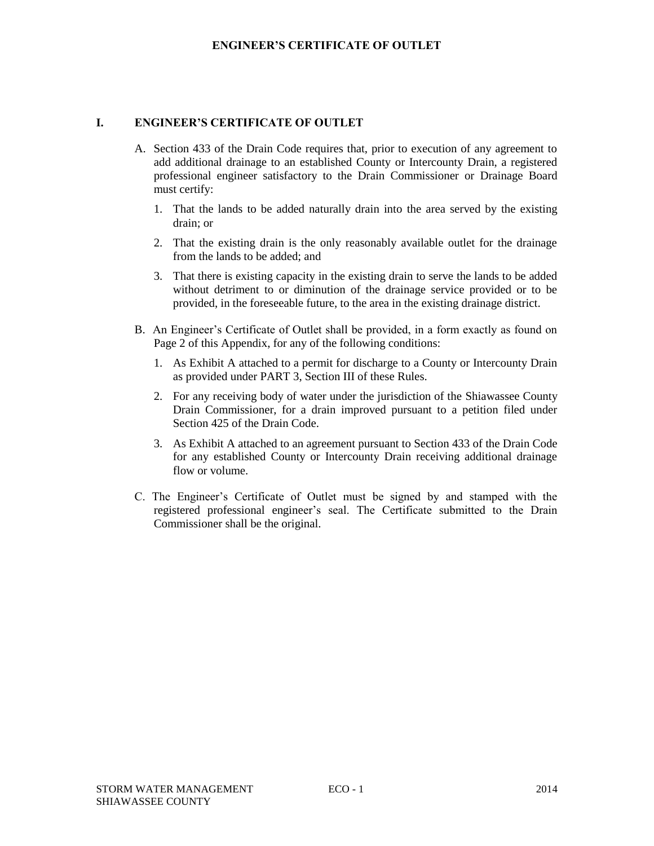# **I. ENGINEER'S CERTIFICATE OF OUTLET**

- A. Section 433 of the Drain Code requires that, prior to execution of any agreement to add additional drainage to an established County or Intercounty Drain, a registered professional engineer satisfactory to the Drain Commissioner or Drainage Board must certify:
	- 1. That the lands to be added naturally drain into the area served by the existing drain; or
	- 2. That the existing drain is the only reasonably available outlet for the drainage from the lands to be added; and
	- 3. That there is existing capacity in the existing drain to serve the lands to be added without detriment to or diminution of the drainage service provided or to be provided, in the foreseeable future, to the area in the existing drainage district.
- B. An Engineer's Certificate of Outlet shall be provided, in a form exactly as found on Page 2 of this Appendix, for any of the following conditions:
	- 1. As Exhibit A attached to a permit for discharge to a County or Intercounty Drain as provided under PART 3, Section III of these Rules.
	- 2. For any receiving body of water under the jurisdiction of the Shiawassee County Drain Commissioner, for a drain improved pursuant to a petition filed under Section 425 of the Drain Code.
	- 3. As Exhibit A attached to an agreement pursuant to Section 433 of the Drain Code for any established County or Intercounty Drain receiving additional drainage flow or volume.
- C. The Engineer's Certificate of Outlet must be signed by and stamped with the registered professional engineer's seal. The Certificate submitted to the Drain Commissioner shall be the original.